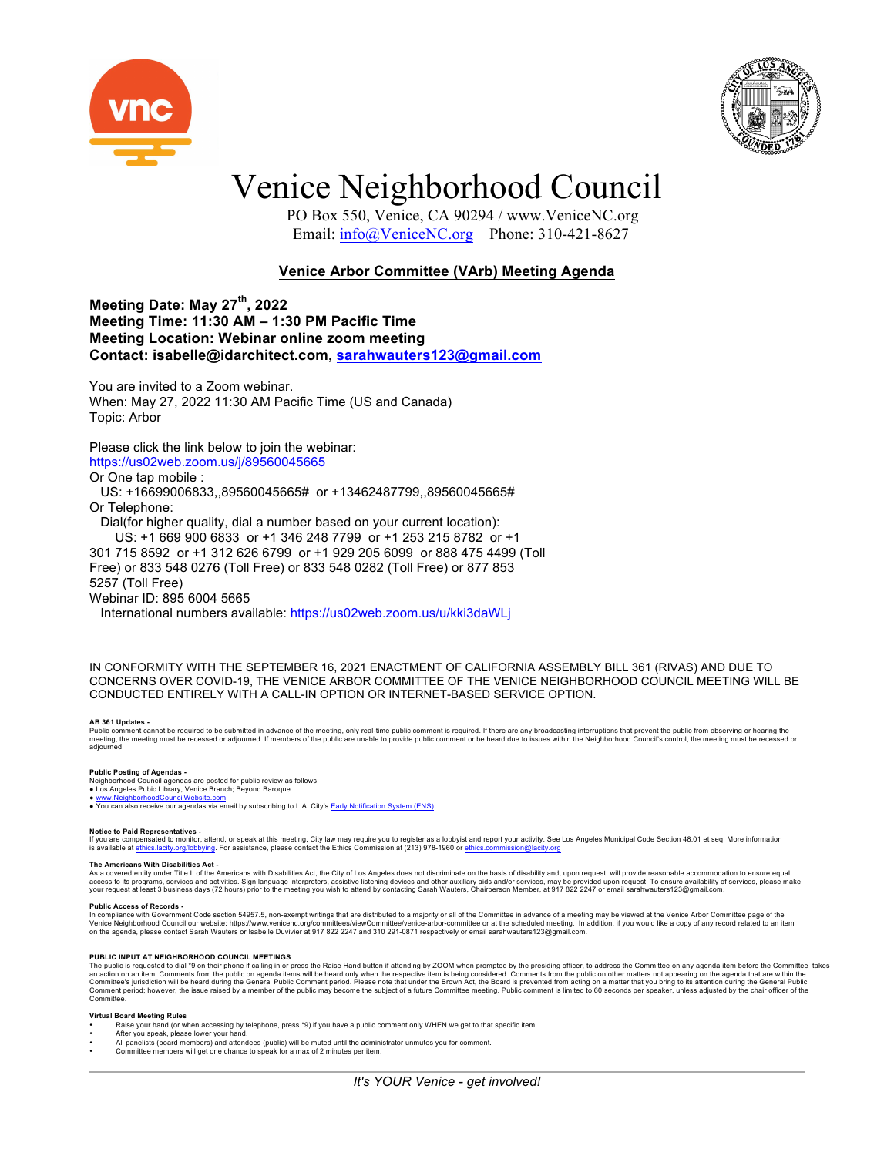



## Venice Neighborhood Council

 PO Box 550, Venice, CA 90294 / www.VeniceNC.org Email: info@VeniceNC.org Phone: 310-421-8627

### **Venice Arbor Committee (VArb) Meeting Agenda**

**Meeting Date: May 27th, 2022 Meeting Time: 11:30 AM – 1:30 PM Pacific Time Meeting Location: Webinar online zoom meeting Contact: isabelle@idarchitect.com, sarahwauters123@gmail.com**

You are invited to a Zoom webinar. When: May 27, 2022 11:30 AM Pacific Time (US and Canada) Topic: Arbor

#### Please click the link below to join the webinar: https://us02web.zoom.us/j/89560045665

Or One tap mobile :

 US: +16699006833,,89560045665# or +13462487799,,89560045665# Or Telephone: Dial(for higher quality, dial a number based on your current location):

 US: +1 669 900 6833 or +1 346 248 7799 or +1 253 215 8782 or +1 301 715 8592 or +1 312 626 6799 or +1 929 205 6099 or 888 475 4499 (Toll Free) or 833 548 0276 (Toll Free) or 833 548 0282 (Toll Free) or 877 853 5257 (Toll Free) Webinar ID: 895 6004 5665

International numbers available: https://us02web.zoom.us/u/kki3daWLj

IN CONFORMITY WITH THE SEPTEMBER 16, 2021 ENACTMENT OF CALIFORNIA ASSEMBLY BILL 361 (RIVAS) AND DUE TO CONCERNS OVER COVID-19, THE VENICE ARBOR COMMITTEE OF THE VENICE NEIGHBORHOOD COUNCIL MEETING WILL BE CONDUCTED ENTIRELY WITH A CALL-IN OPTION OR INTERNET-BASED SERVICE OPTION.

#### **AB 361 Updates -**

Public comment cannot be required to be submitted in advance of the meeting, only real-time public comment is required. If there are any broadcasting interruptions that prevent the public from observing or hearing the<br>meet

#### **Public Posting of Agendas -**

Neighborhood Council agendas are posted for public review as follows: ● Los Angeles Pubic Library, Venice Branch; Beyond Baroque

● www.NeighborhoodCouncilWebsite.com<br>● You can also receive our agendas via email by subscribing to L.A. City's Early Notification System (ENS)

#### **Notice to Paid Representatives -**

If you are compensated to monitor, attend, or speak at this meeting. City law may require you to register as a lobbyist and report your activity. See Los Angeles Municipal Code Section 48.01 et seq. More information<br>is ava

#### **The Americans With Disabilities Act -**

As a covered entity under Title II of the Americans with Disabilities Act, the City of Los Angeles does not discriminate on the basis of disability and, upon request, will provide reasonable accommodation to ensure equal<br>a

Public Access of Records -<br>In compliance with Government Code section 54957.5, non-exempt writings that are distributed to a majority or all of the Committee in advance of a meeting may be viewed at the Venice Arbor Commit Venice Neighborhood Council our website: https://www.venicenc.org/committees/viewCommittee/venice-arbor-committee or at the scheduled meeting. In addition, if you would like a copy of any record related to an item<br>on the a

PUBLIC INPUT AT NEIGHBORHOOD COUNCIL MEETINGS<br>The public is requested to dial \*9 on their phone if calling in or press the Raise Hand button if attending by ZOOM when prompted by the presiding officer, to address the Commi Committee.

#### **Virtual Board Meeting Rules**

- Raise your hand (or when accessing by telephone, press \*9) if you have a public comment only WHEN we get to that specific item.
- After you speak, please lower your hand. • All panelists (board members) and attendees (public) will be muted until the administrator unmutes you for comment.
- 
- Committee members will get one chance to speak for a max of 2 minutes per item.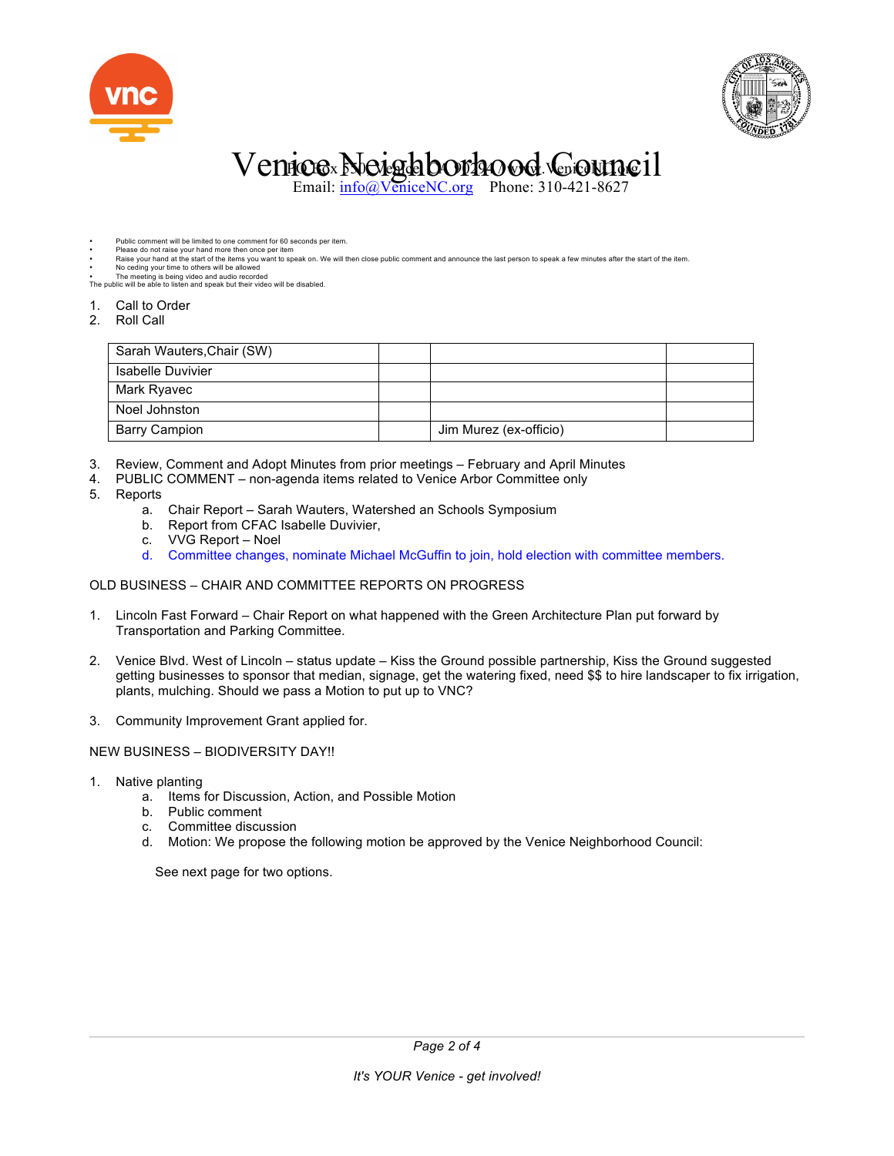



# Venice Neighborhood Gouncil

Email:  $\frac{info}{Q}$ VeniceNC.org Phone: 310-421-8627

- Public comment will be limited to one comment for 60 seconds per item. • Please do not raise your hand more then once per item
- Raise your hand at the start of the items you want to speak on. We will then close public comment and announce the last person to speak a few minutes after the start of the item.
- No ceding your time to others will be allowed
- The meeting is being video and audio recorded The public will be able to listen and speak but their video will be disabled.
- 1. Call to Order
- 2. Roll Call

| Sarah Wauters, Chair (SW) |                        |  |
|---------------------------|------------------------|--|
| Isabelle Duvivier         |                        |  |
| Mark Ryavec               |                        |  |
| Noel Johnston             |                        |  |
| <b>Barry Campion</b>      | Jim Murez (ex-officio) |  |

- 3. Review, Comment and Adopt Minutes from prior meetings February and April Minutes
- 4. PUBLIC COMMENT non-agenda items related to Venice Arbor Committee only
- 5. Reports
	- a. Chair Report Sarah Wauters, Watershed an Schools Symposium
	- b. Report from CFAC Isabelle Duvivier,
	- c. VVG Report Noel
	- d. Committee changes, nominate Michael McGuffin to join, hold election with committee members.

#### OLD BUSINESS – CHAIR AND COMMITTEE REPORTS ON PROGRESS

- 1. Lincoln Fast Forward Chair Report on what happened with the Green Architecture Plan put forward by Transportation and Parking Committee.
- 2. Venice Blvd. West of Lincoln status update Kiss the Ground possible partnership, Kiss the Ground suggested getting businesses to sponsor that median, signage, get the watering fixed, need \$\$ to hire landscaper to fix irrigation, plants, mulching. Should we pass a Motion to put up to VNC?
- 3. Community Improvement Grant applied for.

### NEW BUSINESS – BIODIVERSITY DAY!!

- 1. Native planting
	- a. Items for Discussion, Action, and Possible Motion
	- b. Public comment
	- c. Committee discussion
	- d. Motion: We propose the following motion be approved by the Venice Neighborhood Council:

See next page for two options.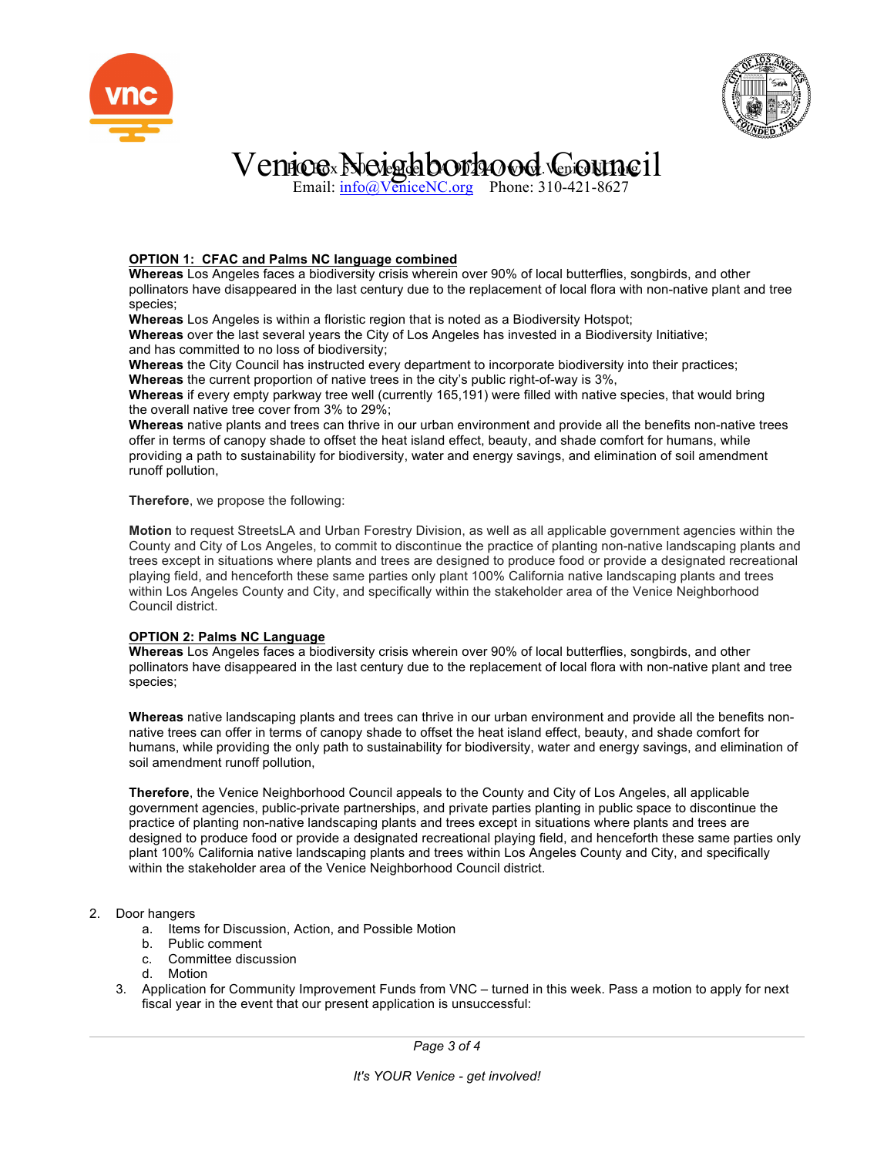



# $\rm V$ enice Noighborhood Gouncil

Email: info@VeniceNC.org Phone: 310-421-8627

### **OPTION 1: CFAC and Palms NC language combined**

**Whereas** Los Angeles faces a biodiversity crisis wherein over 90% of local butterflies, songbirds, and other pollinators have disappeared in the last century due to the replacement of local flora with non-native plant and tree species;

**Whereas** Los Angeles is within a floristic region that is noted as a Biodiversity Hotspot;

**Whereas** over the last several years the City of Los Angeles has invested in a Biodiversity Initiative; and has committed to no loss of biodiversity;

**Whereas** the City Council has instructed every department to incorporate biodiversity into their practices; **Whereas** the current proportion of native trees in the city's public right-of-way is 3%,

**Whereas** if every empty parkway tree well (currently 165,191) were filled with native species, that would bring the overall native tree cover from 3% to 29%;

**Whereas** native plants and trees can thrive in our urban environment and provide all the benefits non-native trees offer in terms of canopy shade to offset the heat island effect, beauty, and shade comfort for humans, while providing a path to sustainability for biodiversity, water and energy savings, and elimination of soil amendment runoff pollution,

**Therefore**, we propose the following:

**Motion** to request StreetsLA and Urban Forestry Division, as well as all applicable government agencies within the County and City of Los Angeles, to commit to discontinue the practice of planting non-native landscaping plants and trees except in situations where plants and trees are designed to produce food or provide a designated recreational playing field, and henceforth these same parties only plant 100% California native landscaping plants and trees within Los Angeles County and City, and specifically within the stakeholder area of the Venice Neighborhood Council district.

### **OPTION 2: Palms NC Language**

**Whereas** Los Angeles faces a biodiversity crisis wherein over 90% of local butterflies, songbirds, and other pollinators have disappeared in the last century due to the replacement of local flora with non-native plant and tree species;

**Whereas** native landscaping plants and trees can thrive in our urban environment and provide all the benefits nonnative trees can offer in terms of canopy shade to offset the heat island effect, beauty, and shade comfort for humans, while providing the only path to sustainability for biodiversity, water and energy savings, and elimination of soil amendment runoff pollution,

**Therefore**, the Venice Neighborhood Council appeals to the County and City of Los Angeles, all applicable government agencies, public-private partnerships, and private parties planting in public space to discontinue the practice of planting non-native landscaping plants and trees except in situations where plants and trees are designed to produce food or provide a designated recreational playing field, and henceforth these same parties only plant 100% California native landscaping plants and trees within Los Angeles County and City, and specifically within the stakeholder area of the Venice Neighborhood Council district.

### 2. Door hangers

- a. Items for Discussion, Action, and Possible Motion
- b. Public comment
- c. Committee discussion
- d. Motion
- 3. Application for Community Improvement Funds from VNC turned in this week. Pass a motion to apply for next fiscal year in the event that our present application is unsuccessful: